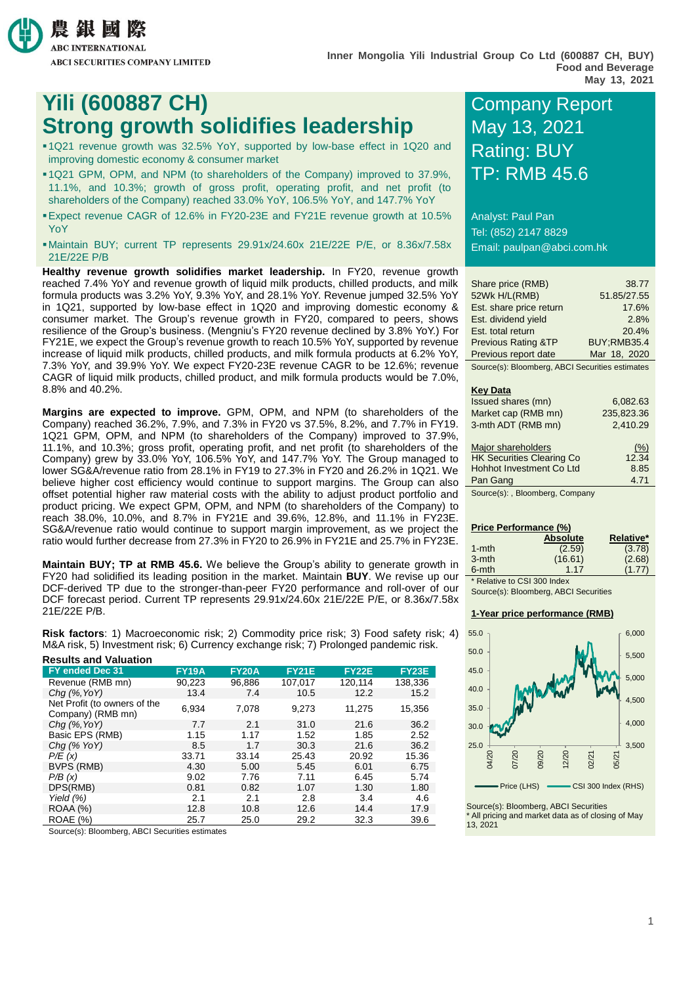

## **Yili (600887 CH) COMPANY REPORT Strong growth solidifies leadership May 13, 2021**

- 1Q21 revenue growth was 32.5% YoY, supported by low-base effect in 1Q20 and improving domestic economy & consumer market
- 1Q21 GPM, OPM, and NPM (to shareholders of the Company) improved to 37.9%, 11.1%, and 10.3%; growth of gross profit, operating profit, and net profit (to shareholders of the Company) reached 33.0% YoY, 106.5% YoY, and 147.7% YoY
- Expect revenue CAGR of 12.6% in FY20-23E and FY21E revenue growth at 10.5% YoY
- Maintain BUY; current TP represents 29.91x/24.60x 21E/22E P/E, or 8.36x/7.58x 21E/22E P/B

**Healthy revenue growth solidifies market leadership.** In FY20, revenue growth reached 7.4% YoY and revenue growth of liquid milk products, chilled products, and milk formula products was 3.2% YoY, 9.3% YoY, and 28.1% YoY. Revenue jumped 32.5% YoY in 1Q21, supported by low-base effect in 1Q20 and improving domestic economy & consumer market. The Group's revenue growth in FY20, compared to peers, shows resilience of the Group's business. (Mengniu's FY20 revenue declined by 3.8% YoY.) For FY21E, we expect the Group's revenue growth to reach 10.5% YoY, supported by revenue increase of liquid milk products, chilled products, and milk formula products at 6.2% YoY, 7.3% YoY, and 39.9% YoY. We expect FY20-23E revenue CAGR to be 12.6%; revenue CAGR of liquid milk products, chilled product, and milk formula products would be 7.0%, 8.8% and 40.2%.

**Margins are expected to improve.** GPM, OPM, and NPM (to shareholders of the Company) reached 36.2%, 7.9%, and 7.3% in FY20 vs 37.5%, 8.2%, and 7.7% in FY19. 1Q21 GPM, OPM, and NPM (to shareholders of the Company) improved to 37.9%, 11.1%, and 10.3%; gross profit, operating profit, and net profit (to shareholders of the Company) grew by 33.0% YoY, 106.5% YoY, and 147.7% YoY. The Group managed to lower SG&A/revenue ratio from 28.1% in FY19 to 27.3% in FY20 and 26.2% in 1Q21. We believe higher cost efficiency would continue to support margins. The Group can also offset potential higher raw material costs with the ability to adjust product portfolio and product pricing. We expect GPM, OPM, and NPM (to shareholders of the Company) to reach 38.0%, 10.0%, and 8.7% in FY21E and 39.6%, 12.8%, and 11.1% in FY23E. SG&A/revenue ratio would continue to support margin improvement, as we project the ratio would further decrease from 27.3% in FY20 to 26.9% in FY21E and 25.7% in FY23E.

**Maintain BUY; TP at RMB 45.6.** We believe the Group's ability to generate growth in FY20 had solidified its leading position in the market. Maintain **BUY**. We revise up our DCF-derived TP due to the stronger-than-peer FY20 performance and roll-over of our DCF forecast period. Current TP represents 29.91x/24.60x 21E/22E P/E, or 8.36x/7.58x 21E/22E P/B.

**Risk factors**: 1) Macroeconomic risk; 2) Commodity price risk; 3) Food safety risk; 4) M&A risk, 5) Investment risk; 6) Currency exchange risk; 7) Prolonged pandemic risk.

| <b>Results and Valuation</b>                      |              |              |              |              |         |
|---------------------------------------------------|--------------|--------------|--------------|--------------|---------|
| <b>FY ended Dec 31</b>                            | <b>FY19A</b> | <b>FY20A</b> | <b>EY21E</b> | <b>FY22E</b> | FY23E   |
| Revenue (RMB mn)                                  | 90,223       | 96.886       | 107.017      | 120.114      | 138,336 |
| $Chq$ (%, YoY)                                    | 13.4         | 7.4          | 10.5         | 12.2         | 15.2    |
| Net Profit (to owners of the<br>Company) (RMB mn) | 6,934        | 7,078        | 9,273        | 11,275       | 15,356  |
| $Chq$ $(\%$ , YoY)                                | 7.7          | 2.1          | 31.0         | 21.6         | 36.2    |
| Basic EPS (RMB)                                   | 1.15         | 1.17         | 1.52         | 1.85         | 2.52    |
| Chg $(\%$ YoY)                                    | 8.5          | 1.7          | 30.3         | 21.6         | 36.2    |
| P/E(x)                                            | 33.71        | 33.14        | 25.43        | 20.92        | 15.36   |
| BVPS (RMB)                                        | 4.30         | 5.00         | 5.45         | 6.01         | 6.75    |
| P/B(x)                                            | 9.02         | 7.76         | 7.11         | 6.45         | 5.74    |
| DPS(RMB)                                          | 0.81         | 0.82         | 1.07         | 1.30         | 1.80    |
| Yield $(%)$                                       | 2.1          | 2.1          | 2.8          | 3.4          | 4.6     |
| <b>ROAA (%)</b>                                   | 12.8         | 10.8         | 12.6         | 14.4         | 17.9    |
| <b>ROAE</b> (%)                                   | 25.7         | 25.0         | 29.2         | 32.3         | 39.6    |

Source(s): Bloomberg, ABCI Securities estimates

# Rating: BUY TP: RMB 45.6

Analyst: Paul Pan Tel: (852) 2147 8829 Email: paulpan@abci.com.hk

| Share price (RMB)                               | 38.77              |
|-------------------------------------------------|--------------------|
| 52Wk H/L(RMB)                                   | 51.85/27.55        |
| Est. share price return                         | 17.6%              |
| Est. dividend yield                             | 2.8%               |
| Est. total return                               | 20.4%              |
| <b>Previous Rating &amp;TP</b>                  | <b>BUY:RMB35.4</b> |
| Previous report date                            | Mar 18, 2020       |
| Source(s): Bloomberg, ABCI Securities estimates |                    |

#### **Key Data**

| 6,082.63   |
|------------|
| 235,823.36 |
| 2,410.29   |
| (% )       |
| 12.34      |
| 8.85       |
| 4.71       |
|            |

Source(s): , Bloomberg, Company

#### **Price Performance (%)**

|                             | <b>Absolute</b> | Relative* |
|-----------------------------|-----------------|-----------|
| $1 - mth$                   | (2.59)          | (3.78)    |
| $3-$ mth                    | (16.61)         | (2.68)    |
| 6-mth                       | 1.17            | (1.77)    |
| * Relative to CSI 300 Index |                 |           |

Source(s): Bloomberg, ABCI Securities

#### **1-Year price performance (RMB)**



Source(s): Bloomberg, ABCI Securities All pricing and market data as of closing of May 13, 2021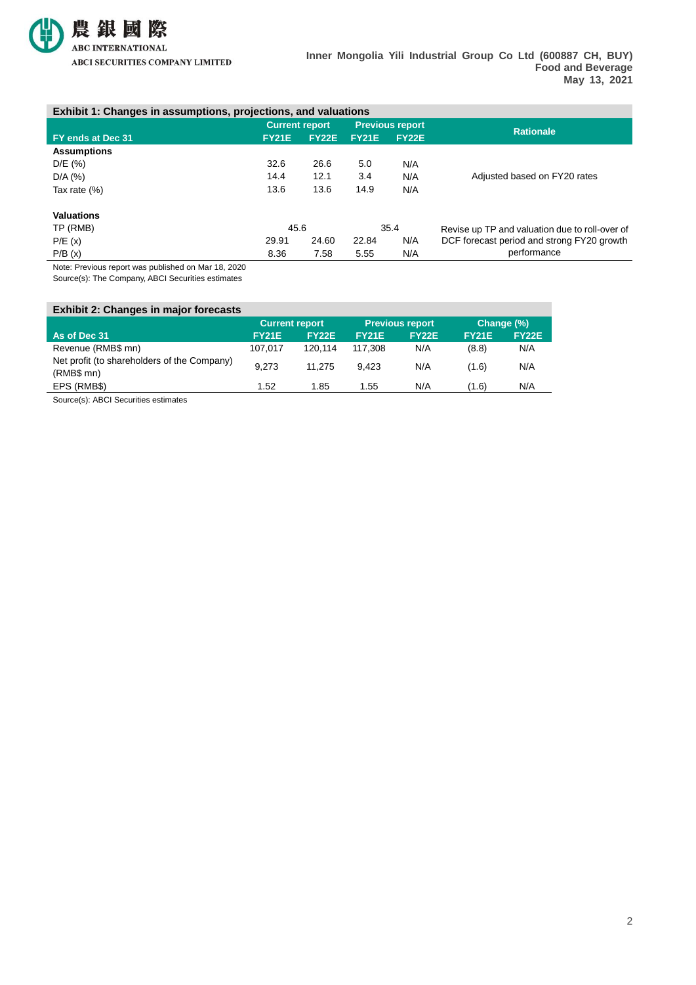

#### **Exhibit 1: Changes in assumptions, projections, and valuations**

|                                    | <b>Current report</b> |              | <b>Previous report</b> |              | <b>Rationale</b>                               |  |
|------------------------------------|-----------------------|--------------|------------------------|--------------|------------------------------------------------|--|
| FY ends at Dec 31                  | <b>FY21E</b>          | <b>FY22E</b> | <b>FY21E</b>           | <b>FY22E</b> |                                                |  |
| <b>Assumptions</b>                 |                       |              |                        |              |                                                |  |
| D/E (%)                            | 32.6                  | 26.6         | 5.0                    | N/A          |                                                |  |
| $D/A$ (%)                          | 14.4                  | 12.1         | 3.4                    | N/A          | Adjusted based on FY20 rates                   |  |
| Tax rate $(\%)$                    | 13.6                  | 13.6         | 14.9                   | N/A          |                                                |  |
| <b>Valuations</b>                  |                       |              |                        |              |                                                |  |
| TP (RMB)                           | 45.6                  |              |                        | 35.4         | Revise up TP and valuation due to roll-over of |  |
| P/E(x)                             | 29.91                 | 24.60        | 22.84                  | N/A          | DCF forecast period and strong FY20 growth     |  |
| P/B(x)                             | 8.36                  | 7.58         | 5.55                   | N/A          | performance                                    |  |
| .<br>$\cdots$<br>$\cdots$ $\cdots$ |                       |              |                        |              |                                                |  |

Note: Previous report was published on Mar 18, 2020 Source(s): The Company, ABCI Securities estimates

**Exhibit 2: Changes in major forecasts Current report Previous report Change (%) As of Dec 31 FY21E FY22E FY21E FY22E FY21E FY22E** Revenue (RMB\$ mn) 107,017 120,114 117,308 N/A (8.8) N/A Net profit (to shareholders of the Company) 1.275 9,423 N/A (1.6) N/A<br>(RMB\$ mn) EPS (RMB\$) 1.52 1.85 1.55 N/A (1.6) N/A

Source(s): ABCI Securities estimates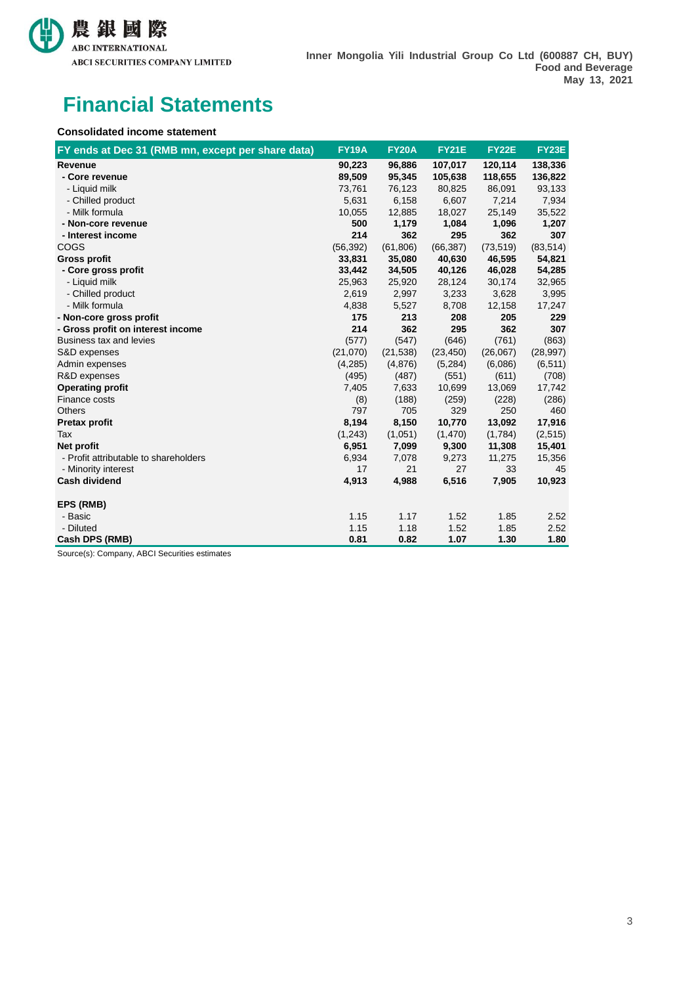

## **Financial Statements**

#### **Consolidated income statement**

| FY ends at Dec 31 (RMB mn, except per share data) | <b>FY19A</b> | <b>FY20A</b> | <b>FY21E</b> | <b>FY22E</b> | FY23E     |
|---------------------------------------------------|--------------|--------------|--------------|--------------|-----------|
| Revenue                                           | 90,223       | 96,886       | 107,017      | 120,114      | 138,336   |
| - Core revenue                                    | 89,509       | 95,345       | 105,638      | 118,655      | 136,822   |
| - Liquid milk                                     | 73,761       | 76,123       | 80,825       | 86,091       | 93,133    |
| - Chilled product                                 | 5,631        | 6,158        | 6,607        | 7,214        | 7,934     |
| - Milk formula                                    | 10,055       | 12,885       | 18,027       | 25,149       | 35,522    |
| - Non-core revenue                                | 500          | 1,179        | 1,084        | 1,096        | 1,207     |
| - Interest income                                 | 214          | 362          | 295          | 362          | 307       |
| COGS                                              | (56, 392)    | (61, 806)    | (66, 387)    | (73, 519)    | (83, 514) |
| <b>Gross profit</b>                               | 33,831       | 35,080       | 40,630       | 46,595       | 54,821    |
| - Core gross profit                               | 33,442       | 34,505       | 40,126       | 46,028       | 54,285    |
| - Liquid milk                                     | 25,963       | 25,920       | 28,124       | 30,174       | 32,965    |
| - Chilled product                                 | 2,619        | 2,997        | 3,233        | 3,628        | 3,995     |
| - Milk formula                                    | 4,838        | 5,527        | 8,708        | 12,158       | 17,247    |
| - Non-core gross profit                           | 175          | 213          | 208          | 205          | 229       |
| - Gross profit on interest income                 | 214          | 362          | 295          | 362          | 307       |
| Business tax and levies                           | (577)        | (547)        | (646)        | (761)        | (863)     |
| S&D expenses                                      | (21,070)     | (21, 538)    | (23, 450)    | (26,067)     | (28, 997) |
| Admin expenses                                    | (4,285)      | (4,876)      | (5,284)      | (6,086)      | (6, 511)  |
| R&D expenses                                      | (495)        | (487)        | (551)        | (611)        | (708)     |
| <b>Operating profit</b>                           | 7,405        | 7,633        | 10,699       | 13,069       | 17,742    |
| Finance costs                                     | (8)          | (188)        | (259)        | (228)        | (286)     |
| <b>Others</b>                                     | 797          | 705          | 329          | 250          | 460       |
| <b>Pretax profit</b>                              | 8,194        | 8,150        | 10,770       | 13,092       | 17,916    |
| Tax                                               | (1,243)      | (1,051)      | (1,470)      | (1,784)      | (2,515)   |
| Net profit                                        | 6,951        | 7,099        | 9,300        | 11,308       | 15,401    |
| - Profit attributable to shareholders             | 6,934        | 7,078        | 9,273        | 11,275       | 15,356    |
| - Minority interest                               | 17           | 21           | 27           | 33           | 45        |
| <b>Cash dividend</b>                              | 4,913        | 4,988        | 6,516        | 7,905        | 10,923    |
| EPS (RMB)                                         |              |              |              |              |           |
| - Basic                                           | 1.15         | 1.17         | 1.52         | 1.85         | 2.52      |
| - Diluted                                         | 1.15         | 1.18         | 1.52         | 1.85         | 2.52      |
| Cash DPS (RMB)                                    | 0.81         | 0.82         | 1.07         | 1.30         | 1.80      |

Source(s): Company, ABCI Securities estimates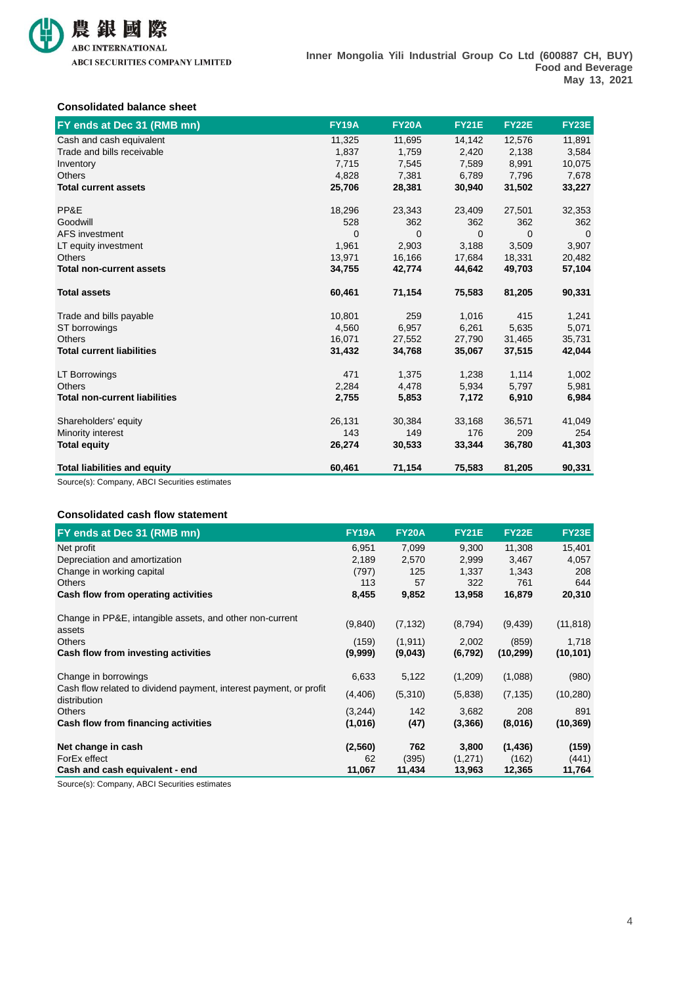

#### **Consolidated balance sheet**

| FY ends at Dec 31 (RMB mn)           | <b>FY19A</b> | <b>FY20A</b> | <b>FY21E</b> | <b>FY22E</b> | <b>FY23E</b> |
|--------------------------------------|--------------|--------------|--------------|--------------|--------------|
| Cash and cash equivalent             | 11,325       | 11,695       | 14,142       | 12,576       | 11,891       |
| Trade and bills receivable           | 1,837        | 1,759        | 2,420        | 2,138        | 3,584        |
| Inventory                            | 7,715        | 7,545        | 7,589        | 8,991        | 10,075       |
| <b>Others</b>                        | 4,828        | 7,381        | 6.789        | 7,796        | 7,678        |
| <b>Total current assets</b>          | 25,706       | 28,381       | 30,940       | 31,502       | 33,227       |
| PP&E                                 | 18,296       | 23,343       | 23,409       | 27,501       | 32,353       |
| Goodwill                             | 528          | 362          | 362          | 362          | 362          |
| <b>AFS</b> investment                | 0            | 0            | 0            | 0            | $\mathbf{0}$ |
| LT equity investment                 | 1,961        | 2,903        | 3,188        | 3,509        | 3,907        |
| <b>Others</b>                        | 13,971       | 16,166       | 17,684       | 18,331       | 20,482       |
| <b>Total non-current assets</b>      | 34,755       | 42,774       | 44,642       | 49,703       | 57,104       |
| <b>Total assets</b>                  | 60,461       | 71,154       | 75,583       | 81,205       | 90,331       |
| Trade and bills payable              | 10,801       | 259          | 1,016        | 415          | 1,241        |
| ST borrowings                        | 4,560        | 6,957        | 6,261        | 5,635        | 5,071        |
| <b>Others</b>                        | 16,071       | 27,552       | 27,790       | 31,465       | 35,731       |
| <b>Total current liabilities</b>     | 31,432       | 34,768       | 35,067       | 37,515       | 42,044       |
| LT Borrowings                        | 471          | 1,375        | 1,238        | 1,114        | 1,002        |
| <b>Others</b>                        | 2,284        | 4,478        | 5,934        | 5,797        | 5,981        |
| <b>Total non-current liabilities</b> | 2,755        | 5,853        | 7,172        | 6,910        | 6,984        |
| Shareholders' equity                 | 26,131       | 30,384       | 33,168       | 36,571       | 41,049       |
| Minority interest                    | 143          | 149          | 176          | 209          | 254          |
| <b>Total equity</b>                  | 26,274       | 30,533       | 33,344       | 36,780       | 41,303       |
| <b>Total liabilities and equity</b>  | 60,461       | 71,154       | 75,583       | 81,205       | 90,331       |

Source(s): Company, ABCI Securities estimates

#### **Consolidated cash flow statement**

| FY ends at Dec 31 (RMB mn)                                                         | <b>FY19A</b>     | <b>FY20A</b>        | <b>FY21E</b>      | <b>FY22E</b>       | <b>FY23E</b>       |
|------------------------------------------------------------------------------------|------------------|---------------------|-------------------|--------------------|--------------------|
| Net profit                                                                         | 6,951            | 7,099               | 9,300             | 11,308             | 15,401             |
| Depreciation and amortization                                                      | 2,189            | 2,570               | 2,999             | 3,467              | 4,057              |
| Change in working capital                                                          | (797)            | 125                 | 1,337             | 1,343              | 208                |
| <b>Others</b>                                                                      | 113              | 57                  | 322               | 761                | 644                |
| Cash flow from operating activities                                                | 8,455            | 9,852               | 13,958            | 16,879             | 20,310             |
| Change in PP&E, intangible assets, and other non-current<br>assets                 | (9,840)          | (7, 132)            | (8,794)           | (9, 439)           | (11, 818)          |
| <b>Others</b><br>Cash flow from investing activities                               | (159)<br>(9,999) | (1, 911)<br>(9,043) | 2,002<br>(6, 792) | (859)<br>(10, 299) | 1,718<br>(10, 101) |
|                                                                                    |                  |                     |                   |                    |                    |
| Change in borrowings                                                               | 6,633            | 5,122               | (1,209)           | (1,088)            | (980)              |
| Cash flow related to dividend payment, interest payment, or profit<br>distribution | (4, 406)         | (5,310)             | (5,838)           | (7, 135)           | (10, 280)          |
| <b>Others</b>                                                                      | (3,244)          | 142                 | 3,682             | 208                | 891                |
| Cash flow from financing activities                                                | (1,016)          | (47)                | (3,366)           | (8,016)            | (10, 369)          |
| Net change in cash                                                                 | (2, 560)         | 762                 | 3,800             | (1, 436)           | (159)              |
| ForEx effect                                                                       | 62               | (395)               | (1,271)           | (162)              | (441)              |
| Cash and cash equivalent - end                                                     | 11,067           | 11,434              | 13,963            | 12,365             | 11,764             |

Source(s): Company, ABCI Securities estimates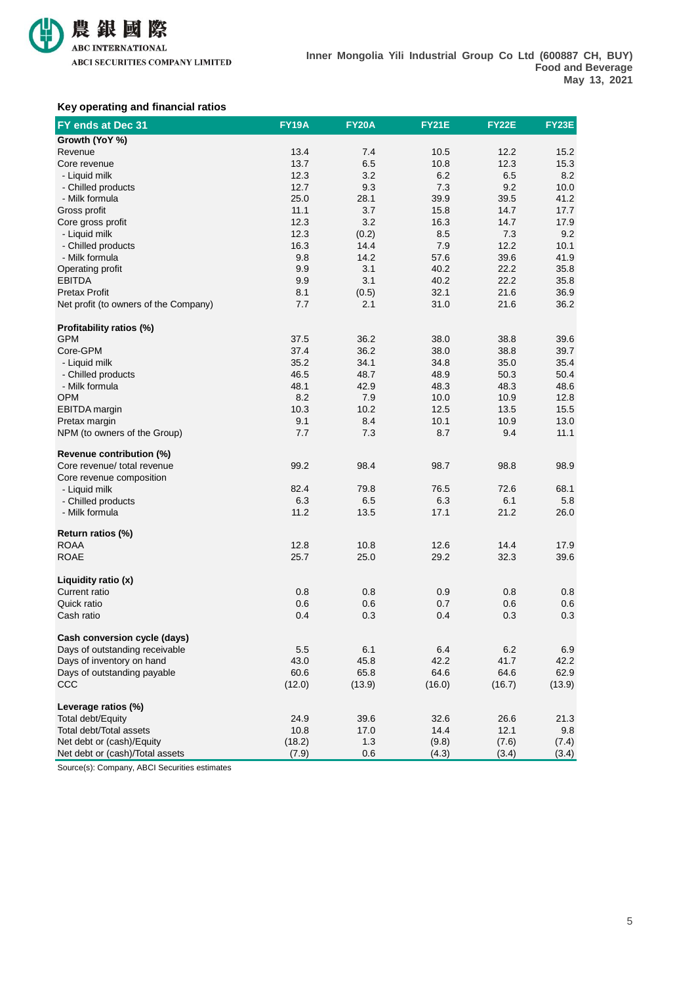

#### **Key operating and financial ratios**

| FY ends at Dec 31                      | <b>FY19A</b> | <b>FY20A</b> | <b>FY21E</b> | <b>FY22E</b> | FY23E  |
|----------------------------------------|--------------|--------------|--------------|--------------|--------|
| Growth (YoY %)                         |              |              |              |              |        |
| Revenue                                | 13.4         | 7.4          | 10.5         | 12.2         | 15.2   |
| Core revenue                           | 13.7         | 6.5          | 10.8         | 12.3         | 15.3   |
| - Liquid milk                          | 12.3         | 3.2          | 6.2          | 6.5          | 8.2    |
| - Chilled products                     | 12.7         | 9.3          | 7.3          | 9.2          | 10.0   |
| - Milk formula                         | 25.0         | 28.1         | 39.9         | 39.5         | 41.2   |
| Gross profit                           | 11.1         | 3.7          | 15.8         | 14.7         | 17.7   |
| Core gross profit                      | 12.3         | 3.2          | 16.3         | 14.7         | 17.9   |
| - Liquid milk                          | 12.3         | (0.2)        | 8.5          | 7.3          | 9.2    |
| - Chilled products                     | 16.3         | 14.4         | 7.9          | 12.2         | 10.1   |
| - Milk formula                         | 9.8          | 14.2         | 57.6         | 39.6         | 41.9   |
| Operating profit                       | 9.9          | 3.1          | 40.2         | 22.2         | 35.8   |
| <b>EBITDA</b>                          | 9.9          | 3.1          | 40.2         | 22.2         | 35.8   |
| <b>Pretax Profit</b>                   | 8.1          | (0.5)        | 32.1         | 21.6         | 36.9   |
| Net profit (to owners of the Company)  | 7.7          | 2.1          | 31.0         | 21.6         | 36.2   |
|                                        |              |              |              |              |        |
| Profitability ratios (%)<br><b>GPM</b> | 37.5         | 36.2         | 38.0         | 38.8         | 39.6   |
| Core-GPM                               | 37.4         | 36.2         | 38.0         | 38.8         | 39.7   |
|                                        |              |              |              |              |        |
| - Liquid milk                          | 35.2         | 34.1         | 34.8         | 35.0         | 35.4   |
| - Chilled products                     | 46.5         | 48.7         | 48.9         | 50.3         | 50.4   |
| - Milk formula                         | 48.1         | 42.9         | 48.3         | 48.3         | 48.6   |
| <b>OPM</b>                             | 8.2          | 7.9          | 10.0         | 10.9         | 12.8   |
| <b>EBITDA</b> margin                   | 10.3         | 10.2         | 12.5         | 13.5         | 15.5   |
| Pretax margin                          | 9.1          | 8.4          | 10.1         | 10.9         | 13.0   |
| NPM (to owners of the Group)           | 7.7          | 7.3          | 8.7          | 9.4          | 11.1   |
| Revenue contribution (%)               |              |              |              |              |        |
| Core revenue/ total revenue            | 99.2         | 98.4         | 98.7         | 98.8         | 98.9   |
| Core revenue composition               |              |              |              |              |        |
| - Liquid milk                          | 82.4         | 79.8         | 76.5         | 72.6         | 68.1   |
| - Chilled products                     | 6.3          | 6.5          | 6.3          | 6.1          | 5.8    |
| - Milk formula                         | 11.2         | 13.5         | 17.1         | 21.2         | 26.0   |
|                                        |              |              |              |              |        |
| Return ratios (%)                      |              |              |              |              |        |
| <b>ROAA</b>                            | 12.8         | 10.8         | 12.6         | 14.4         | 17.9   |
| <b>ROAE</b>                            | 25.7         | 25.0         | 29.2         | 32.3         | 39.6   |
| Liquidity ratio (x)                    |              |              |              |              |        |
| Current ratio                          | 0.8          | 0.8          | 0.9          | 0.8          | 0.8    |
| Quick ratio                            | 0.6          | 0.6          | 0.7          | 0.6          | 0.6    |
| Cash ratio                             | 0.4          | 0.3          | 0.4          | 0.3          | 0.3    |
| Cash conversion cycle (days)           |              |              |              |              |        |
| Days of outstanding receivable         | 5.5          | 6.1          | 6.4          | 6.2          | 6.9    |
| Days of inventory on hand              | 43.0         | 45.8         | 42.2         | 41.7         | 42.2   |
| Days of outstanding payable            | 60.6         | 65.8         | 64.6         | 64.6         | 62.9   |
| CCC                                    | (12.0)       | (13.9)       | (16.0)       | (16.7)       | (13.9) |
|                                        |              |              |              |              |        |
| Leverage ratios (%)                    |              |              |              |              |        |
| Total debt/Equity                      | 24.9         | 39.6         | 32.6         | 26.6         | 21.3   |
| Total debt/Total assets                | 10.8         | 17.0         | 14.4         | 12.1         | 9.8    |
| Net debt or (cash)/Equity              | (18.2)       | 1.3          | (9.8)        | (7.6)        | (7.4)  |
| Net debt or (cash)/Total assets        | (7.9)        | 0.6          | (4.3)        | (3.4)        | (3.4)  |

Source(s): Company, ABCI Securities estimates